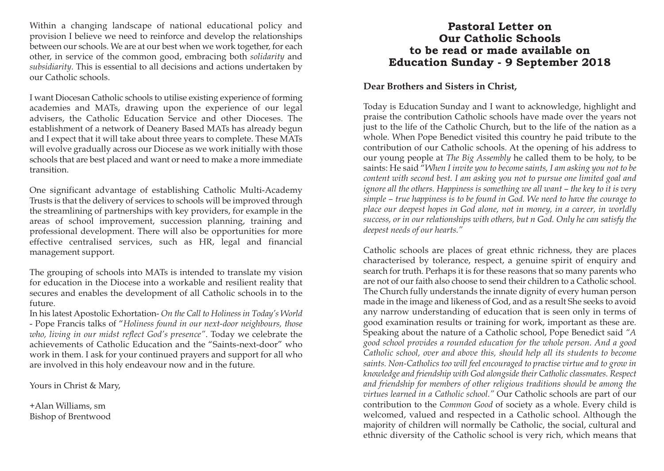Within a changing landscape of national educational policy and provision I believe we need to reinforce and develop the relationships between our schools. We are at our best when we work together, for each other, in service of the common good, embracing both *solidarity* and *subsidiarity*. This is essential to all decisions and actions undertaken by our Catholic schools.

I want Diocesan Catholic schools to utilise existing experience of forming academies and MATs, drawing upon the experience of our legal advisers, the Catholic Education Service and other Dioceses. The establishment of a network of Deanery Based MATs has already begun and I expect that it will take about three years to complete. These MATs will evolve gradually across our Diocese as we work initially with those schools that are best placed and want or need to make a more immediate transition.

One significant advantage of establishing Catholic Multi-Academy Trusts is that the delivery of services to schools will be improved through the streamlining of partnerships with key providers, for example in the areas of school improvement, succession planning, training and professional development. There will also be opportunities for more effective centralised services, such as HR, legal and financial management support.

The grouping of schools into MATs is intended to translate my vision for education in the Diocese into a workable and resilient reality that secures and enables the development of all Catholic schools in to the future.

In his latest Apostolic Exhortation- *On the Call to Holiness in Today's World* - Pope Francis talks of "*Holiness found in our next-door neighbours, those who, living in our midst reflect God's presence"*. Today we celebrate the achievements of Catholic Education and the "Saints-next-door" who work in them. I ask for your continued prayers and support for all who are involved in this holy endeavour now and in the future.

Yours in Christ & Mary,

+Alan Williams, sm Bishop of Brentwood

## **Pastoral Letter on Our Catholic Schools to be read or made available on Education Sunday - 9 September 2018**

## **Dear Brothers and Sisters in Christ,**

Today is Education Sunday and I want to acknowledge, highlight and praise the contribution Catholic schools have made over the years not just to the life of the Catholic Church, but to the life of the nation as a whole. When Pope Benedict visited this country he paid tribute to the contribution of our Catholic schools. At the opening of his address to our young people at *The Big Assembly* he called them to be holy, to be saints: He said "*When I invite you to become saints, I am asking you not to be content with second best. I am asking you not to pursue one limited goal and ignore all the others. Happiness is something we all want – the key to it is very simple – true happiness is to be found in God. We need to have the courage to place our deepest hopes in God alone, not in money, in a career, in worldly success, or in our relationships with others, but n God. Only he can satisfy the deepest needs of our hearts."*

Catholic schools are places of great ethnic richness, they are places characterised by tolerance, respect, a genuine spirit of enquiry and search for truth. Perhaps it is for these reasons that so many parents who are not of our faith also choose to send their children to a Catholic school. The Church fully understands the innate dignity of every human person made in the image and likeness of God, and as a result She seeks to avoid any narrow understanding of education that is seen only in terms of good examination results or training for work, important as these are. Speaking about the nature of a Catholic school, Pope Benedict said *"A good school provides a rounded education for the whole person. And a good Catholic school, over and above this, should help all its students to become saints. Non-Catholics too will feel encouraged to practise virtue and to grow in knowledge and friendship with God alongside their Catholic classmates. Respect and friendship for members of other religious traditions should be among the virtues learned in a Catholic school."* Our Catholic schools are part of our contribution to the *Common Good* of society as a whole. Every child is welcomed, valued and respected in a Catholic school. Although the majority of children will normally be Catholic, the social, cultural and ethnic diversity of the Catholic school is very rich, which means that